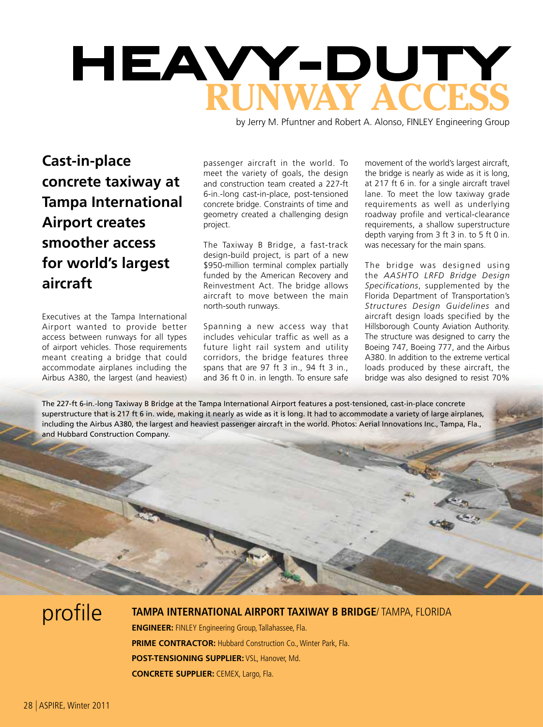

by Jerry M. Pfuntner and Robert A. Alonso, FINLEY Engineering Group

**Cast-in-place concrete taxiway at Tampa International Airport creates smoother access for world's largest aircraft**

Executives at the Tampa International Airport wanted to provide better access between runways for all types of airport vehicles. Those requirements meant creating a bridge that could accommodate airplanes including the Airbus A380, the largest (and heaviest)

passenger aircraft in the world. To meet the variety of goals, the design and construction team created a 227-ft 6-in.-long cast-in-place, post-tensioned concrete bridge. Constraints of time and geometry created a challenging design project.

The Taxiway B Bridge, a fast-track design-build project, is part of a new \$950-million terminal complex partially funded by the American Recovery and Reinvestment Act. The bridge allows aircraft to move between the main north-south runways.

Spanning a new access way that includes vehicular traffic as well as a future light rail system and utility corridors, the bridge features three spans that are 97 ft 3 in., 94 ft 3 in., and 36 ft 0 in. in length. To ensure safe

movement of the world's largest aircraft, the bridge is nearly as wide as it is long, at 217 ft 6 in. for a single aircraft travel lane. To meet the low taxiway grade requirements as well as underlying roadway profile and vertical-clearance requirements, a shallow superstructure depth varying from 3 ft 3 in. to 5 ft 0 in. was necessary for the main spans.

The bridge was designed using the *AASHTO LRFD Bridge Design Specifications*, supplemented by the Florida Department of Transportation's *Structures Design Guidelines* and aircraft design loads specified by the Hillsborough County Aviation Authority. The structure was designed to carry the Boeing 747, Boeing 777, and the Airbus A380. In addition to the extreme vertical loads produced by these aircraft, the bridge was also designed to resist 70%

The 227-ft 6-in.-long Taxiway B Bridge at the Tampa International Airport features a post-tensioned, cast-in-place concrete superstructure that is 217 ft 6 in. wide, making it nearly as wide as it is long. It had to accommodate a variety of large airplanes, including the Airbus A380, the largest and heaviest passenger aircraft in the world. Photos: Aerial Innovations Inc., Tampa, Fla., and Hubbard Construction Company.

profile **tampa international airport taxiway B Bridge**/ tampa, florida **Engineer:** FINLEY Engineering Group, Tallahassee, Fla. **PRIME CONTRACTOR: Hubbard Construction Co., Winter Park, Fla. post-tensioning supplier:** VSL, Hanover, Md. **Concrete supplier:** CEMEX, Largo, Fla.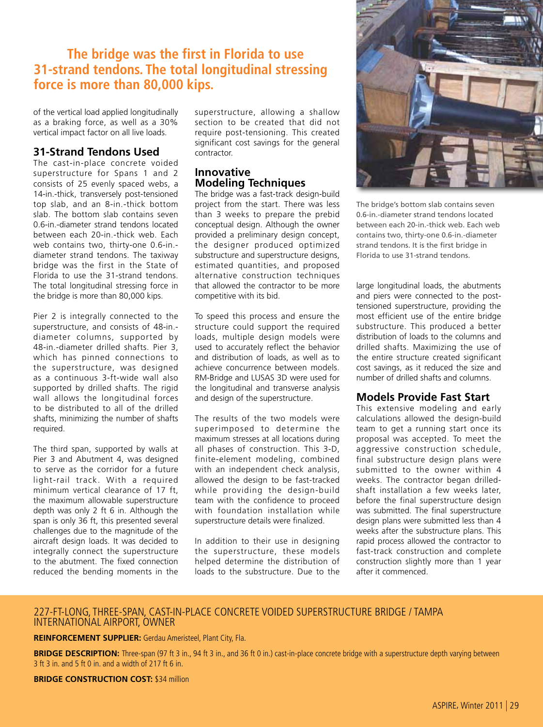# **The bridge was the first in Florida to use 31-strand tendons. The total longitudinal stressing force is more than 80,000 kips.**

of the vertical load applied longitudinally as a braking force, as well as a 30% vertical impact factor on all live loads.

### **31-Strand Tendons Used**

The cast-in-place concrete voided superstructure for Spans 1 and 2 consists of 25 evenly spaced webs, a 14-in.-thick, transversely post-tensioned top slab, and an 8-in.-thick bottom slab. The bottom slab contains seven 0.6-in.-diameter strand tendons located between each 20-in.-thick web. Each web contains two, thirty-one 0.6-in. diameter strand tendons. The taxiway bridge was the first in the State of Florida to use the 31-strand tendons. The total longitudinal stressing force in the bridge is more than 80,000 kips.

Pier 2 is integrally connected to the superstructure, and consists of 48-in. diameter columns, supported by 48-in.-diameter drilled shafts. Pier 3, which has pinned connections to the superstructure, was designed as a continuous 3-ft-wide wall also supported by drilled shafts. The rigid wall allows the longitudinal forces to be distributed to all of the drilled shafts, minimizing the number of shafts required.

The third span, supported by walls at Pier 3 and Abutment 4, was designed to serve as the corridor for a future light-rail track. With a required minimum vertical clearance of 17 ft, the maximum allowable superstructure depth was only 2 ft 6 in. Although the span is only 36 ft, this presented several challenges due to the magnitude of the aircraft design loads. It was decided to integrally connect the superstructure to the abutment. The fixed connection reduced the bending moments in the

superstructure, allowing a shallow section to be created that did not require post-tensioning. This created significant cost savings for the general contractor.

#### **Innovative Modeling Techniques**

The bridge was a fast-track design-build project from the start. There was less than 3 weeks to prepare the prebid conceptual design. Although the owner provided a preliminary design concept, the designer produced optimized substructure and superstructure designs, estimated quantities, and proposed alternative construction techniques that allowed the contractor to be more competitive with its bid.

To speed this process and ensure the structure could support the required loads, multiple design models were used to accurately reflect the behavior and distribution of loads, as well as to achieve concurrence between models. RM-Bridge and LUSAS 3D were used for the longitudinal and transverse analysis and design of the superstructure.

The results of the two models were superimposed to determine the maximum stresses at all locations during all phases of construction. This 3-D, finite-element modeling, combined with an independent check analysis, allowed the design to be fast-tracked while providing the design-build team with the confidence to proceed with foundation installation while superstructure details were finalized.

In addition to their use in designing the superstructure, these models helped determine the distribution of loads to the substructure. Due to the



The bridge's bottom slab contains seven 0.6-in.-diameter strand tendons located between each 20-in.-thick web. Each web contains two, thirty-one 0.6-in.-diameter strand tendons. It is the first bridge in Florida to use 31-strand tendons.

large longitudinal loads, the abutments and piers were connected to the posttensioned superstructure, providing the most efficient use of the entire bridge substructure. This produced a better distribution of loads to the columns and drilled shafts. Maximizing the use of the entire structure created significant cost savings, as it reduced the size and number of drilled shafts and columns.

#### **Models Provide Fast Start**

This extensive modeling and early calculations allowed the design-build team to get a running start once its proposal was accepted. To meet the aggressive construction schedule, final substructure design plans were submitted to the owner within 4 weeks. The contractor began drilledshaft installation a few weeks later, before the final superstructure design was submitted. The final superstructure design plans were submitted less than 4 weeks after the substructure plans. This rapid process allowed the contractor to fast-track construction and complete construction slightly more than 1 year after it commenced.

#### 227-FT-LONG, THREE-SPAN, CAST-IN-PLACE CONCRETE VOIDED SUPERSTRUCTURE BRIDGE / TAMPA INTERNATIONAL AIRPORT, OWNER

**reinforcement supplier:** Gerdau Ameristeel, Plant City, Fla.

**BRIDGE DESCRIPTION:** Three-span (97 ft 3 in., 94 ft 3 in., and 36 ft 0 in.) cast-in-place concrete bridge with a superstructure depth varying between 3 ft 3 in. and 5 ft 0 in. and a width of 217 ft 6 in.

**BRIDGE CONSTRUCTION COST: \$34 million**